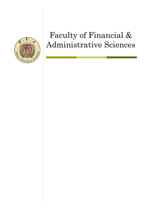

# Faculty of Financial & Administrative Sciences